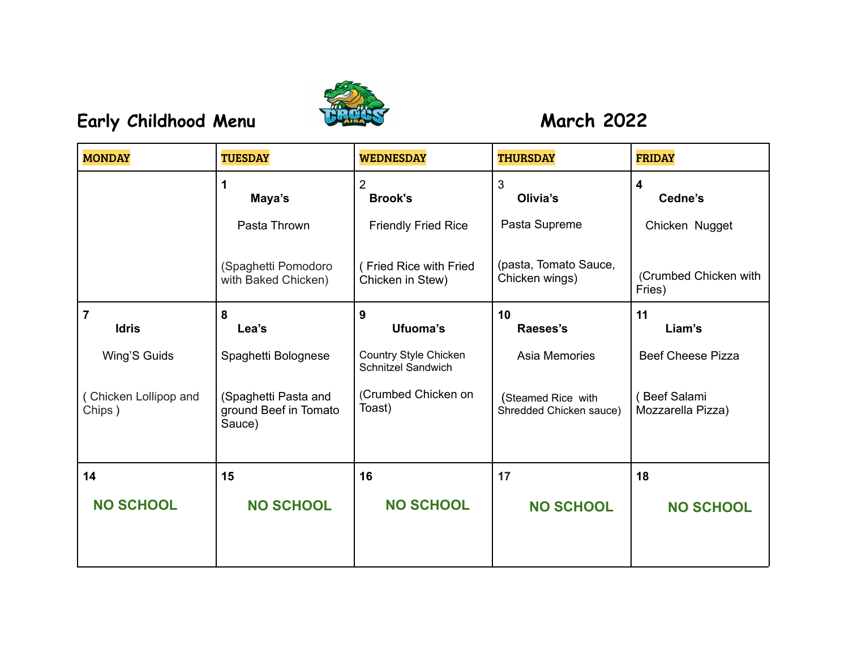

## **Early Childhood Menu March 2022**

| <b>MONDAY</b>                   | <b>TUESDAY</b>                                          | <b>WEDNESDAY</b>                            | <b>THURSDAY</b>                               | <b>FRIDAY</b>                           |
|---------------------------------|---------------------------------------------------------|---------------------------------------------|-----------------------------------------------|-----------------------------------------|
|                                 | Maya's                                                  | $\overline{2}$<br><b>Brook's</b>            | 3<br>Olivia's                                 | $\overline{\mathbf{4}}$<br>Cedne's      |
|                                 | Pasta Thrown                                            | <b>Friendly Fried Rice</b>                  | Pasta Supreme                                 | Chicken Nugget                          |
|                                 | (Spaghetti Pomodoro<br>with Baked Chicken)              | (Fried Rice with Fried<br>Chicken in Stew)  | (pasta, Tomato Sauce,<br>Chicken wings)       | (Crumbed Chicken with<br>Fries)         |
| $\overline{7}$<br><b>Idris</b>  | 8<br>Lea's                                              | 9<br>Ufuoma's                               | 10<br>Raeses's                                | 11<br>Liam's                            |
| Wing'S Guids                    | Spaghetti Bolognese                                     | Country Style Chicken<br>Schnitzel Sandwich | Asia Memories                                 | <b>Beef Cheese Pizza</b>                |
| (Chicken Lollipop and<br>Chips) | (Spaghetti Pasta and<br>ground Beef in Tomato<br>Sauce) | (Crumbed Chicken on<br>Toast)               | (Steamed Rice with<br>Shredded Chicken sauce) | <b>Beef Salami</b><br>Mozzarella Pizza) |
| 14                              | 15                                                      | 16                                          | 17                                            | 18                                      |
| <b>NO SCHOOL</b>                | <b>NO SCHOOL</b>                                        | <b>NO SCHOOL</b>                            | <b>NO SCHOOL</b>                              | <b>NO SCHOOL</b>                        |
|                                 |                                                         |                                             |                                               |                                         |